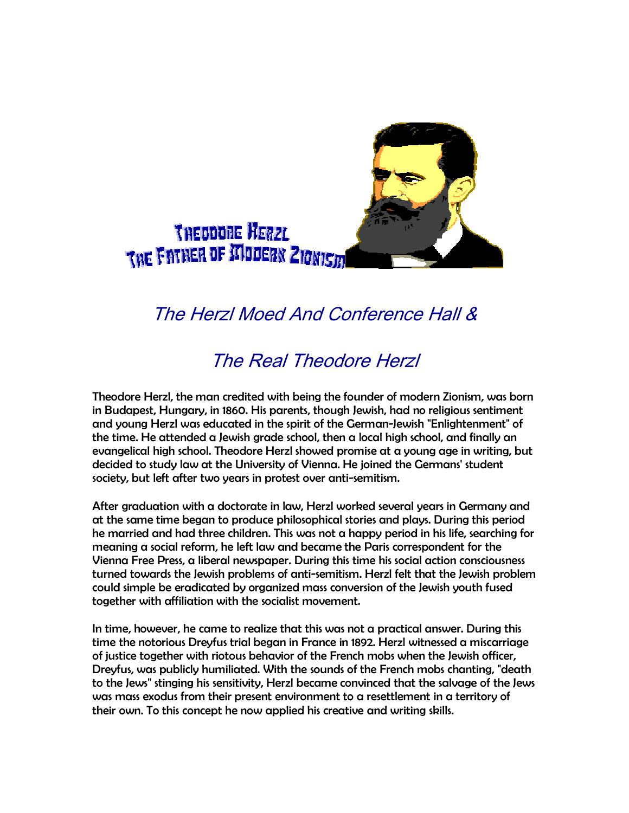

## The Herzl Moed And Conference Hall &

## The Real Theodore Herzl

Theodore Herzl, the man credited with being the founder of modern Zionism, was born in Budapest, Hungary, in 1860. His parents, though Jewish, had no religious sentiment and young Herzl was educated in the spirit of the German-Jewish "Enlightenment" of the time. He attended a Jewish grade school, then a local high school, and finally an evangelical high school. Theodore Herzl showed promise at a young age in writing, but decided to study law at the University of Vienna. He joined the Germans' student society, but left after two years in protest over anti-semitism.

After graduation with a doctorate in law, Herzl worked several years in Germany and at the same time began to produce philosophical stories and plays. During this period he married and had three children. This was not a happy period in his life, searching for meaning a social reform, he left law and became the Paris correspondent for the Vienna Free Press, a liberal newspaper. During this time his social action consciousness turned towards the Jewish problems of anti-semitism. Herzl felt that the Jewish problem could simple be eradicated by organized mass conversion of the Jewish youth fused together with affiliation with the socialist movement.

In time, however, he came to realize that this was not a practical answer. During this time the notorious Dreyfus trial began in France in 1892. Herzl witnessed a miscarriage of justice together with riotous behavior of the French mobs when the Jewish officer, Dreyfus, was publicly humiliated. With the sounds of the French mobs chanting, "death to the Jews" stinging his sensitivity, Herzl became convinced that the salvage of the Jews was mass exodus from their present environment to a resettlement in a territory of their own. To this concept he now applied his creative and writing skills.